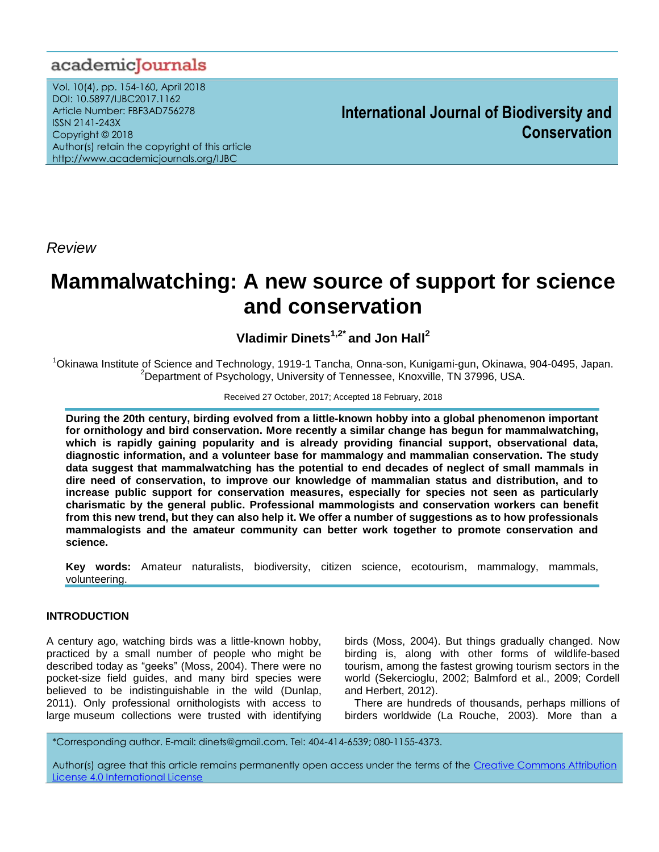# academiclournals

Vol. 10(4), pp. 154-160, April 2018 DOI: 10.5897/IJBC2017.1162 Article Number: FBF3AD756278 ISSN 2141-243X Copyright © 2018 Author(s) retain the copyright of this article http://www.academicjournals.org/IJBC

**International Journal of Biodiversity and Conservation**

*Review*

# **Mammalwatching: A new source of support for science and conservation**

# **Vladimir Dinets1,2\* and Jon Hall<sup>2</sup>**

<sup>1</sup>Okinawa Institute of Science and Technology, 1919-1 Tancha, Onna-son, Kunigami-gun, Okinawa, 904-0495, Japan. <sup>2</sup>Department of Psychology, University of Tennessee, Knoxville, TN 37996, USA.

## Received 27 October, 2017; Accepted 18 February, 2018

**During the 20th century, birding evolved from a little-known hobby into a global phenomenon important for ornithology and bird conservation. More recently a similar change has begun for mammalwatching, which is rapidly gaining popularity and is already providing financial support, observational data, diagnostic information, and a volunteer base for mammalogy and mammalian conservation. The study data suggest that mammalwatching has the potential to end decades of neglect of small mammals in dire need of conservation, to improve our knowledge of mammalian status and distribution, and to increase public support for conservation measures, especially for species not seen as particularly charismatic by the general public. Professional mammologists and conservation workers can benefit from this new trend, but they can also help it. We offer a number of suggestions as to how professionals mammalogists and the amateur community can better work together to promote conservation and science.**

**Key words:** Amateur naturalists, biodiversity, citizen science, ecotourism, mammalogy, mammals, volunteering.

# **INTRODUCTION**

A century ago, watching birds was a little-known hobby, practiced by a small number of people who might be described today as "geeks" (Moss, 2004). There were no pocket-size field guides, and many bird species were believed to be indistinguishable in the wild (Dunlap, 2011). Only professional ornithologists with access to large museum collections were trusted with identifying

birds (Moss, 2004). But things gradually changed. Now birding is, along with other forms of wildlife-based tourism, among the fastest growing tourism sectors in the world (Sekercioglu, 2002; Balmford et al., 2009; Cordell and Herbert, 2012).

There are hundreds of thousands, perhaps millions of birders worldwide (La Rouche, 2003). More than a

\*Corresponding author. E-mail: dinets@gmail.com. Tel: 404-414-6539; 080-1155-4373.

Author(s) agree that this article remains permanently open access under the terms of the [Creative Commons Attribution](http://creativecommons.org/licenses/by/4.0/deed.en_US)  [License 4.0 International License](http://creativecommons.org/licenses/by/4.0/deed.en_US)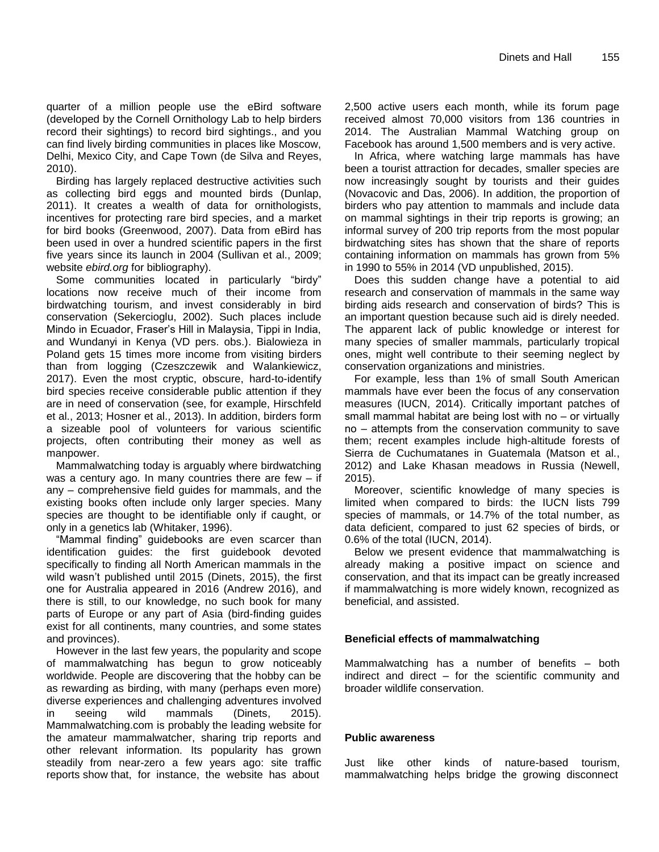quarter of a million people use the eBird software (developed by the Cornell Ornithology Lab to help birders record their sightings) to record bird sightings., and you can find lively birding communities in places like Moscow, Delhi, Mexico City, and Cape Town (de Silva and Reyes, 2010).

Birding has largely replaced destructive activities such as collecting bird eggs and mounted birds (Dunlap, 2011). It creates a wealth of data for ornithologists, incentives for protecting rare bird species, and a market for bird books (Greenwood, 2007). Data from eBird has been used in over a hundred scientific papers in the first five years since its launch in 2004 (Sullivan et al., 2009; website *ebird.org* for bibliography).

Some communities located in particularly "birdy" locations now receive much of their income from birdwatching tourism, and invest considerably in bird conservation (Sekercioglu, 2002). Such places include Mindo in Ecuador, Fraser's Hill in Malaysia, Tippi in India, and Wundanyi in Kenya (VD pers. obs.). Bialowieza in Poland gets 15 times more income from visiting birders than from logging (Czeszczewik and Walankiewicz, 2017). Even the most cryptic, obscure, hard-to-identify bird species receive considerable public attention if they are in need of conservation (see, for example, Hirschfeld et al., 2013; Hosner et al., 2013). In addition, birders form a sizeable pool of volunteers for various scientific projects, often contributing their money as well as manpower.

Mammalwatching today is arguably where birdwatching was a century ago. In many countries there are few – if any – comprehensive field guides for mammals, and the existing books often include only larger species. Many species are thought to be identifiable only if caught, or only in a genetics lab (Whitaker, 1996).

"Mammal finding" guidebooks are even scarcer than identification guides: the first guidebook devoted specifically to finding all North American mammals in the wild wasn't published until 2015 (Dinets, 2015), the first one for Australia appeared in 2016 (Andrew 2016), and there is still, to our knowledge, no such book for many parts of Europe or any part of Asia (bird-finding guides exist for all continents, many countries, and some states and provinces).

However in the last few years, the popularity and scope of mammalwatching has begun to grow noticeably worldwide. People are discovering that the hobby can be as rewarding as birding, with many (perhaps even more) diverse experiences and challenging adventures involved in seeing wild mammals (Dinets, 2015). Mammalwatching.com is probably the leading website for the amateur mammalwatcher, sharing trip reports and other relevant information. Its popularity has grown steadily from near-zero a few years ago: site traffic reports show that, for instance, the website has about

2,500 active users each month, while its forum page received almost 70,000 visitors from 136 countries in 2014. The Australian Mammal Watching group on Facebook has around 1,500 members and is very active.

In Africa, where watching large mammals has have been a tourist attraction for decades, smaller species are now increasingly sought by tourists and their guides (Novacovic and Das, 2006). In addition, the proportion of birders who pay attention to mammals and include data on mammal sightings in their trip reports is growing; an informal survey of 200 trip reports from the most popular birdwatching sites has shown that the share of reports containing information on mammals has grown from 5% in 1990 to 55% in 2014 (VD unpublished, 2015).

Does this sudden change have a potential to aid research and conservation of mammals in the same way birding aids research and conservation of birds? This is an important question because such aid is direly needed. The apparent lack of public knowledge or interest for many species of smaller mammals, particularly tropical ones, might well contribute to their seeming neglect by conservation organizations and ministries.

For example, less than 1% of small South American mammals have ever been the focus of any conservation measures (IUCN, 2014). Critically important patches of small mammal habitat are being lost with no – or virtually no – attempts from the conservation community to save them; recent examples include high-altitude forests of Sierra de Cuchumatanes in Guatemala (Matson et al., 2012) and Lake Khasan meadows in Russia (Newell, 2015).

Moreover, scientific knowledge of many species is limited when compared to birds: the IUCN lists 799 species of mammals, or 14.7% of the total number, as data deficient, compared to just 62 species of birds, or 0.6% of the total (IUCN, 2014).

Below we present evidence that mammalwatching is already making a positive impact on science and conservation, and that its impact can be greatly increased if mammalwatching is more widely known, recognized as beneficial, and assisted.

# **Beneficial effects of mammalwatching**

Mammalwatching has a number of benefits  $-$  both indirect and direct  $-$  for the scientific community and broader wildlife conservation.

#### **Public awareness**

Just like other kinds of nature-based tourism, mammalwatching helps bridge the growing disconnect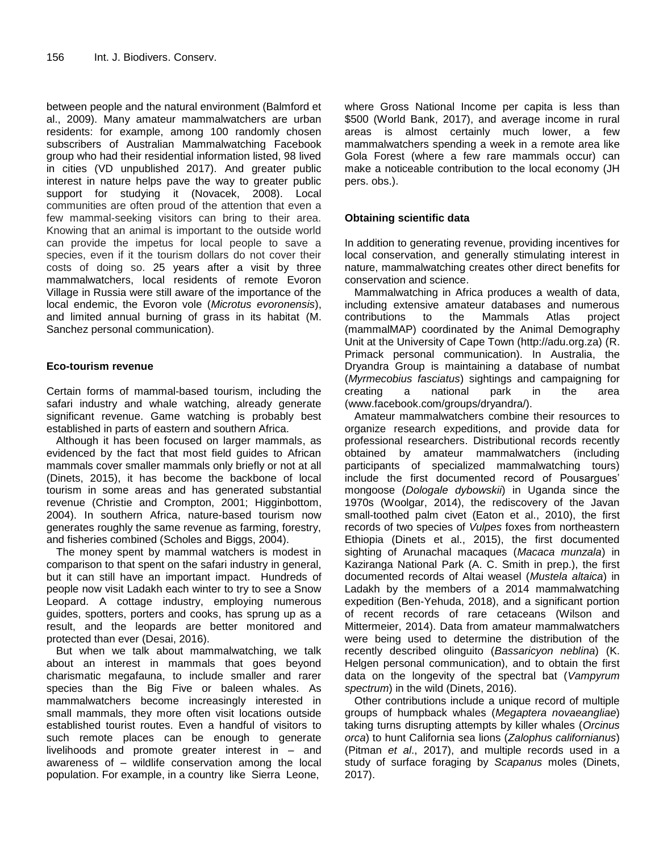between people and the natural environment (Balmford et al., 2009). Many amateur mammalwatchers are urban residents: for example, among 100 randomly chosen subscribers of Australian Mammalwatching Facebook group who had their residential information listed, 98 lived in cities (VD unpublished 2017). And greater public interest in nature helps pave the way to greater public support for studying it (Novacek, 2008). Local communities are often proud of the attention that even a few mammal-seeking visitors can bring to their area. Knowing that an animal is important to the outside world can provide the impetus for local people to save a species, even if it the tourism dollars do not cover their costs of doing so. 25 years after a visit by three mammalwatchers, local residents of remote Evoron Village in Russia were still aware of the importance of the local endemic, the Evoron vole (*Microtus evoronensis*), and limited annual burning of grass in its habitat (M. Sanchez personal communication).

## **Eco-tourism revenue**

Certain forms of mammal-based tourism, including the safari industry and whale watching, already generate significant revenue. Game watching is probably best established in parts of eastern and southern Africa.

Although it has been focused on larger mammals, as evidenced by the fact that most field guides to African mammals cover smaller mammals only briefly or not at all (Dinets, 2015), it has become the backbone of local tourism in some areas and has generated substantial revenue (Christie and Crompton, 2001; Higginbottom, 2004). In southern Africa, nature-based tourism now generates roughly the same revenue as farming, forestry, and fisheries combined (Scholes and Biggs, 2004).

The money spent by mammal watchers is modest in comparison to that spent on the safari industry in general, but it can still have an important impact. Hundreds of people now visit Ladakh each winter to try to see a Snow Leopard. A cottage industry, employing numerous guides, spotters, porters and cooks, has sprung up as a result, and the leopards are better monitored and protected than ever (Desai, 2016).

But when we talk about mammalwatching, we talk about an interest in mammals that goes beyond charismatic megafauna, to include smaller and rarer species than the Big Five or baleen whales. As mammalwatchers become increasingly interested in small mammals, they more often visit locations outside established tourist routes. Even a handful of visitors to such remote places can be enough to generate livelihoods and promote greater interest in – and awareness of – wildlife conservation among the local population. For example, in a country like Sierra Leone,

where Gross National Income per capita is less than \$500 (World Bank, 2017), and average income in rural areas is almost certainly much lower, a few mammalwatchers spending a week in a remote area like Gola Forest (where a few rare mammals occur) can make a noticeable contribution to the local economy (JH pers. obs.).

# **Obtaining scientific data**

In addition to generating revenue, providing incentives for local conservation, and generally stimulating interest in nature, mammalwatching creates other direct benefits for conservation and science.

Mammalwatching in Africa produces a wealth of data, including extensive amateur databases and numerous contributions to the Mammals Atlas project (mammalMAP) coordinated by the Animal Demography Unit at the University of Cape Town (http://adu.org.za) (R. Primack personal communication). In Australia, the Dryandra Group is maintaining a database of numbat (*Myrmecobius fasciatus*) sightings and campaigning for creating a national park in the area (www.facebook.com/groups/dryandra/).

Amateur mammalwatchers combine their resources to organize research expeditions, and provide data for professional researchers. Distributional records recently obtained by amateur mammalwatchers (including participants of specialized mammalwatching tours) include the first documented record of Pousargues' mongoose (*Dologale dybowskii*) in Uganda since the 1970s (Woolgar, 2014), the rediscovery of the Javan small-toothed palm civet (Eaton et al., 2010), the first records of two species of *Vulpes* foxes from northeastern Ethiopia (Dinets et al., 2015), the first documented sighting of Arunachal macaques (*Macaca munzala*) in Kaziranga National Park (A. C. Smith in prep.), the first documented records of Altai weasel (*Mustela altaica*) in Ladakh by the members of a 2014 mammalwatching expedition (Ben-Yehuda, 2018), and a significant portion of recent records of rare cetaceans (Wilson and Mittermeier, 2014). Data from amateur mammalwatchers were being used to determine the distribution of the recently described olinguito (*Bassaricyon neblina*) (K. Helgen personal communication), and to obtain the first data on the longevity of the spectral bat (*Vampyrum spectrum*) in the wild (Dinets, 2016).

Other contributions include a unique record of multiple groups of humpback whales (*Megaptera novaeangliae*) taking turns disrupting attempts by killer whales (*Orcinus orca*) to hunt California sea lions (*Zalophus californianus*) (Pitman *et al*., 2017), and multiple records used in a study of surface foraging by *Scapanus* moles (Dinets, 2017).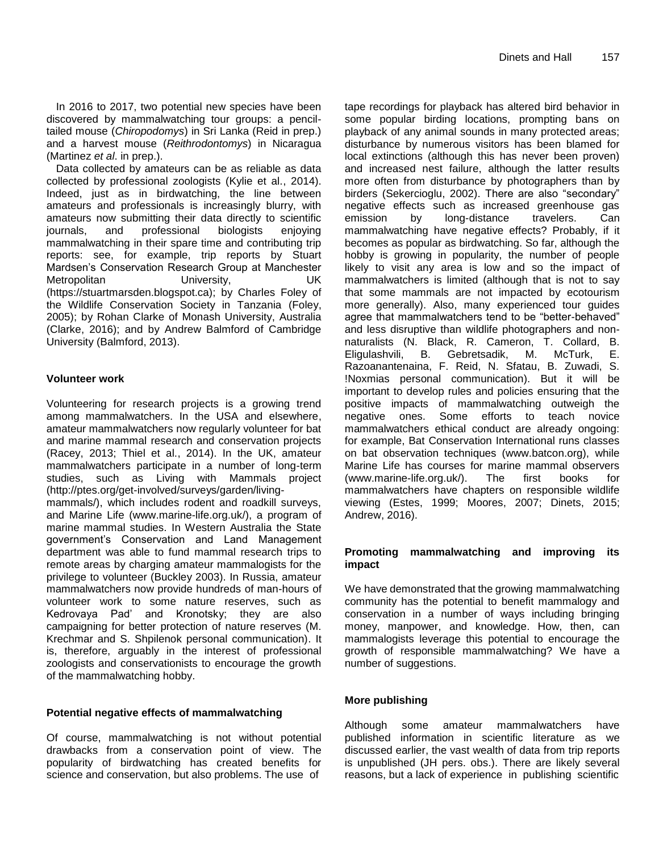In 2016 to 2017, two potential new species have been discovered by mammalwatching tour groups: a penciltailed mouse (*Chiropodomys*) in Sri Lanka (Reid in prep.) and a harvest mouse (*Reithrodontomys*) in Nicaragua (Martinez *et al*. in prep.).

Data collected by amateurs can be as reliable as data collected by professional zoologists (Kylie et al., 2014). Indeed, just as in birdwatching, the line between amateurs and professionals is increasingly blurry, with amateurs now submitting their data directly to scientific journals, and professional biologists enjoying mammalwatching in their spare time and contributing trip reports: see, for example, trip reports by Stuart Mardsen's Conservation Research Group at Manchester Metropolitan University, UK (https://stuartmarsden.blogspot.ca); by Charles Foley of the Wildlife Conservation Society in Tanzania (Foley, 2005); by Rohan Clarke of Monash University, Australia (Clarke, 2016); and by Andrew Balmford of Cambridge University (Balmford, 2013).

# **Volunteer work**

Volunteering for research projects is a growing trend among mammalwatchers. In the USA and elsewhere, amateur mammalwatchers now regularly volunteer for bat and marine mammal research and conservation projects (Racey, 2013; Thiel et al., 2014). In the UK, amateur mammalwatchers participate in a number of long-term studies, such as Living with Mammals project (http://ptes.org/get-involved/surveys/garden/living-

mammals/), which includes rodent and roadkill surveys, and Marine Life (www.marine-life.org.uk/), a program of marine mammal studies. In Western Australia the State government's Conservation and Land Management department was able to fund mammal research trips to remote areas by charging amateur mammalogists for the privilege to volunteer (Buckley 2003). In Russia, amateur mammalwatchers now provide hundreds of man-hours of volunteer work to some nature reserves, such as Kedrovaya Pad' and Kronotsky; they are also campaigning for better protection of nature reserves (M. Krechmar and S. Shpilenok personal communication). It is, therefore, arguably in the interest of professional zoologists and conservationists to encourage the growth of the mammalwatching hobby.

# **Potential negative effects of mammalwatching**

Of course, mammalwatching is not without potential drawbacks from a conservation point of view. The popularity of birdwatching has created benefits for science and conservation, but also problems. The use of

tape recordings for playback has altered bird behavior in some popular birding locations, prompting bans on playback of any animal sounds in many protected areas; disturbance by numerous visitors has been blamed for local extinctions (although this has never been proven) and increased nest failure, although the latter results more often from disturbance by photographers than by birders (Sekercioglu, 2002). There are also "secondary" negative effects such as increased greenhouse gas emission by long-distance travelers. Can mammalwatching have negative effects? Probably, if it becomes as popular as birdwatching. So far, although the hobby is growing in popularity, the number of people likely to visit any area is low and so the impact of mammalwatchers is limited (although that is not to say that some mammals are not impacted by ecotourism more generally). Also, many experienced tour guides agree that mammalwatchers tend to be "better-behaved" and less disruptive than wildlife photographers and nonnaturalists (N. Black, R. Cameron, T. Collard, B. Eligulashvili, B. Gebretsadik, M. McTurk, E. Razoanantenaina, F. Reid, N. Sfatau, B. Zuwadi, S. !Noxmias personal communication). But it will be important to develop rules and policies ensuring that the positive impacts of mammalwatching outweigh the negative ones. Some efforts to teach novice mammalwatchers ethical conduct are already ongoing: for example, Bat Conservation International runs classes on bat observation techniques (www.batcon.org), while Marine Life has courses for marine mammal observers (www.marine-life.org.uk/). The first books for mammalwatchers have chapters on responsible wildlife viewing (Estes, 1999; Moores, 2007; Dinets, 2015; Andrew, 2016).

## **Promoting mammalwatching and improving its impact**

We have demonstrated that the growing mammalwatching community has the potential to benefit mammalogy and conservation in a number of ways including bringing money, manpower, and knowledge. How, then, can mammalogists leverage this potential to encourage the growth of responsible mammalwatching? We have a number of suggestions.

# **More publishing**

Although some amateur mammalwatchers have published information in scientific literature as we discussed earlier, the vast wealth of data from trip reports is unpublished (JH pers. obs.). There are likely several reasons, but a lack of experience in publishing scientific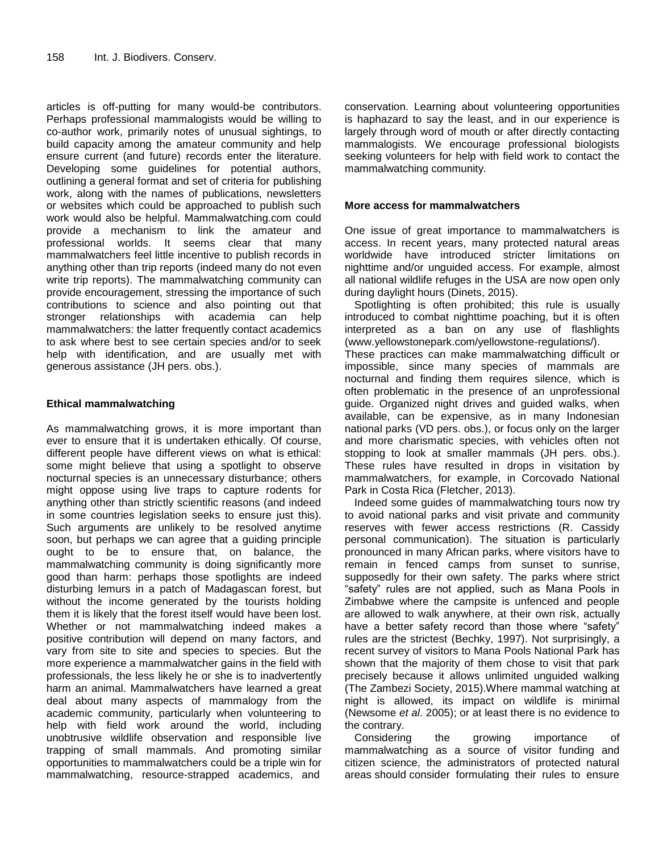articles is off-putting for many would-be contributors. Perhaps professional mammalogists would be willing to co-author work, primarily notes of unusual sightings, to build capacity among the amateur community and help ensure current (and future) records enter the literature. Developing some guidelines for potential authors, outlining a general format and set of criteria for publishing work, along with the names of publications, newsletters or websites which could be approached to publish such work would also be helpful. Mammalwatching.com could provide a mechanism to link the amateur and professional worlds. It seems clear that many mammalwatchers feel little incentive to publish records in anything other than trip reports (indeed many do not even write trip reports). The mammalwatching community can provide encouragement, stressing the importance of such contributions to science and also pointing out that stronger relationships with academia can help mammalwatchers: the latter frequently contact academics to ask where best to see certain species and/or to seek help with identification, and are usually met with generous assistance (JH pers. obs.).

## **Ethical mammalwatching**

As mammalwatching grows, it is more important than ever to ensure that it is undertaken ethically. Of course, different people have different views on what is ethical: some might believe that using a spotlight to observe nocturnal species is an unnecessary disturbance; others might oppose using live traps to capture rodents for anything other than strictly scientific reasons (and indeed in some countries legislation seeks to ensure just this). Such arguments are unlikely to be resolved anytime soon, but perhaps we can agree that a guiding principle ought to be to ensure that, on balance, the mammalwatching community is doing significantly more good than harm: perhaps those spotlights are indeed disturbing lemurs in a patch of Madagascan forest, but without the income generated by the tourists holding them it is likely that the forest itself would have been lost. Whether or not mammalwatching indeed makes a positive contribution will depend on many factors, and vary from site to site and species to species. But the more experience a mammalwatcher gains in the field with professionals, the less likely he or she is to inadvertently harm an animal. Mammalwatchers have learned a great deal about many aspects of mammalogy from the academic community, particularly when volunteering to help with field work around the world, including unobtrusive wildlife observation and responsible live trapping of small mammals. And promoting similar opportunities to mammalwatchers could be a triple win for mammalwatching, resource-strapped academics, and

conservation. Learning about volunteering opportunities is haphazard to say the least, and in our experience is largely through word of mouth or after directly contacting mammalogists. We encourage professional biologists seeking volunteers for help with field work to contact the mammalwatching community.

## **More access for mammalwatchers**

One issue of great importance to mammalwatchers is access. In recent years, many protected natural areas worldwide have introduced stricter limitations on nighttime and/or unguided access. For example, almost all national wildlife refuges in the USA are now open only during daylight hours (Dinets, 2015).

Spotlighting is often prohibited; this rule is usually introduced to combat nighttime poaching, but it is often interpreted as a ban on any use of flashlights (www.yellowstonepark.com/yellowstone-regulations/).

These practices can make mammalwatching difficult or impossible, since many species of mammals are nocturnal and finding them requires silence, which is often problematic in the presence of an unprofessional guide. Organized night drives and guided walks, when available, can be expensive, as in many Indonesian national parks (VD pers. obs.), or focus only on the larger and more charismatic species, with vehicles often not stopping to look at smaller mammals (JH pers. obs.). These rules have resulted in drops in visitation by mammalwatchers, for example, in Corcovado National Park in Costa Rica (Fletcher, 2013).

Indeed some guides of mammalwatching tours now try to avoid national parks and visit private and community reserves with fewer access restrictions (R. Cassidy personal communication). The situation is particularly pronounced in many African parks, where visitors have to remain in fenced camps from sunset to sunrise, supposedly for their own safety. The parks where strict "safety" rules are not applied, such as Mana Pools in Zimbabwe where the campsite is unfenced and people are allowed to walk anywhere, at their own risk, actually have a better safety record than those where "safety" rules are the strictest (Bechky, 1997). Not surprisingly, a recent survey of visitors to Mana Pools National Park has shown that the majority of them chose to visit that park precisely because it allows unlimited unguided walking (The Zambezi Society, 2015).Where mammal watching at night is allowed, its impact on wildlife is minimal (Newsome *et al*. 2005); or at least there is no evidence to the contrary.

Considering the growing importance of mammalwatching as a source of visitor funding and citizen science, the administrators of protected natural areas should consider formulating their rules to ensure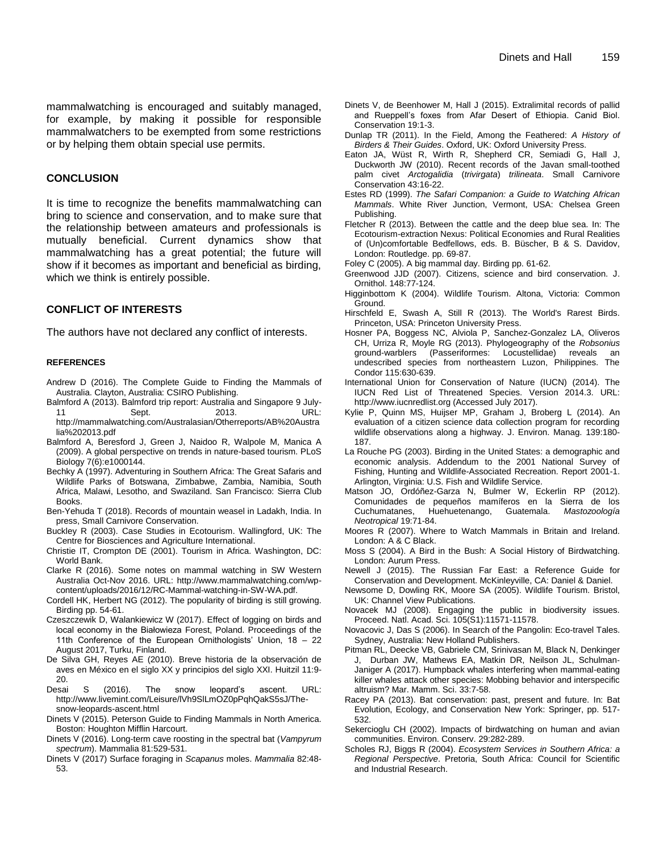mammalwatching is encouraged and suitably managed, for example, by making it possible for responsible mammalwatchers to be exempted from some restrictions or by helping them obtain special use permits.

## **CONCLUSION**

It is time to recognize the benefits mammalwatching can bring to science and conservation, and to make sure that the relationship between amateurs and professionals is mutually beneficial. Current dynamics show that mammalwatching has a great potential; the future will show if it becomes as important and beneficial as birding, which we think is entirely possible.

## **CONFLICT OF INTERESTS**

The authors have not declared any conflict of interests.

#### **REFERENCES**

- Andrew D (2016). The Complete Guide to Finding the Mammals of Australia. Clayton, Australia: CSIRO Publishing.
- Balmford A (2013). Balmford trip report: Australia and Singapore 9 July-11 Sept. 2013. URL: http://mammalwatching.com/Australasian/Otherreports/AB%20Austra lia%202013.pdf
- Balmford A, Beresford J, Green J, Naidoo R, Walpole M, Manica A (2009). A global perspective on trends in nature-based tourism. PLoS Biology 7(6):e1000144.
- Bechky A (1997). Adventuring in Southern Africa: The Great Safaris and Wildlife Parks of Botswana, Zimbabwe, Zambia, Namibia, South Africa, Malawi, Lesotho, and Swaziland. San Francisco: Sierra Club Books.
- Ben-Yehuda T (2018). Records of mountain weasel in Ladakh, India. In press, Small Carnivore Conservation.
- Buckley R (2003). Case Studies in Ecotourism. Wallingford, UK: The Centre for Biosciences and Agriculture International.
- Christie IT, Crompton DE (2001). Tourism in Africa. Washington, DC: World Bank.
- Clarke R (2016). Some notes on mammal watching in SW Western Australia Oct-Nov 2016. URL: http://www.mammalwatching.com/wpcontent/uploads/2016/12/RC-Mammal-watching-in-SW-WA.pdf.
- Cordell HK, Herbert NG (2012). The popularity of birding is still growing. Birding pp. 54-61.
- Czeszczewik D, Walankiewicz W (2017). Effect of logging on birds and local economy in the Białowieza Forest, Poland. Proceedings of the 11th Conference of the European Ornithologists' Union, 18 – 22 August 2017, Turku, Finland.
- De Silva GH, Reyes AE (2010). Breve historia de la observación de aves en México en el siglo XX y principios del siglo XXI. Huitzil 11:9- 20.
- Desai S (2016). The snow leopard's ascent. URL: http://www.livemint.com/Leisure/lVh9SlLmOZ0pPqhQakS5sJ/Thesnow-leopards-ascent.html
- Dinets V (2015). Peterson Guide to Finding Mammals in North America. Boston: Houghton Mifflin Harcourt.
- Dinets V (2016). Long-term cave roosting in the spectral bat (*Vampyrum spectrum*). Mammalia 81:529-531.
- Dinets V (2017) Surface foraging in *Scapanus* moles. *Mammalia* 82:48- 53.
- Dinets V, de Beenhower M, Hall J (2015). Extralimital records of pallid and Rueppell's foxes from Afar Desert of Ethiopia. Canid Biol. Conservation 19:1-3.
- Dunlap TR (2011). In the Field, Among the Feathered: *A History of Birders & Their Guides*. Oxford, UK: Oxford University Press.
- Eaton JA, Wüst R, Wirth R, Shepherd CR, Semiadi G, Hall J, Duckworth JW (2010). Recent records of the Javan small-toothed palm civet *Arctogalidia* (*trivirgata*) *trilineata*. Small Carnivore Conservation 43:16-22.
- Estes RD (1999). *The Safari Companion: a Guide to Watching African Mammals*. White River Junction, Vermont, USA: Chelsea Green Publishing.
- Fletcher R (2013). Between the cattle and the deep blue sea. In: The Ecotourism-extraction Nexus: Political Economies and Rural Realities of (Un)comfortable Bedfellows, eds. B. Büscher, B & S. Davidov, London: Routledge. pp. 69-87.
- Foley C (2005). A big mammal day. Birding pp. 61-62.
- Greenwood JJD (2007). Citizens, science and bird conservation. J. Ornithol. 148:77-124.
- Higginbottom K (2004). Wildlife Tourism. Altona, Victoria: Common Ground.
- Hirschfeld E, Swash A, Still R (2013). The World's Rarest Birds. Princeton, USA: Princeton University Press.
- Hosner PA, Boggess NC, Alviola P, Sanchez-Gonzalez LA, Oliveros CH, Urriza R, Moyle RG (2013). Phylogeography of the *Robsonius* ground-warblers (Passeriformes: Locustellidae) reveals an undescribed species from northeastern Luzon, Philippines. The Condor 115:630-639.
- International Union for Conservation of Nature (IUCN) (2014). The IUCN Red List of Threatened Species. Version 2014.3. URL: http://www.iucnredlist.org (Accessed July 2017).
- Kylie P, Quinn MS, Huijser MP, Graham J, Broberg L (2014). An evaluation of a citizen science data collection program for recording wildlife observations along a highway. J. Environ. Manag. 139:180- 187.
- La Rouche PG (2003). Birding in the United States: a demographic and economic analysis. Addendum to the 2001 National Survey of Fishing, Hunting and Wildlife-Associated Recreation. Report 2001-1. Arlington, Virginia: U.S. Fish and Wildlife Service.
- Matson JO, Ordóñez-Garza N, Bulmer W, Eckerlin RP (2012). Comunidades de pequeños mamíferos en la Sierra de los Cuchumatanes, Huehuetenango, Guatemala. *Mastozoología Neotropical* 19:71-84.
- Moores R (2007). Where to Watch Mammals in Britain and Ireland. London: A & C Black.
- Moss S (2004). A Bird in the Bush: A Social History of Birdwatching. London: Aurum Press.
- Newell J (2015). The Russian Far East: a Reference Guide for Conservation and Development. McKinleyville, CA: Daniel & Daniel.
- Newsome D, Dowling RK, Moore SA (2005). Wildlife Tourism. Bristol, UK: Channel View Publications.
- Novacek MJ (2008). Engaging the public in biodiversity issues. Proceed. Natl. Acad. Sci. 105(S1):11571-11578.
- Novacovic J, Das S (2006). In Search of the Pangolin: Eco-travel Tales. Sydney, Australia: New Holland Publishers.
- Pitman RL, Deecke VB, Gabriele CM, Srinivasan M, Black N, Denkinger J, Durban JW, Mathews EA, Matkin DR, Neilson JL, Schulman‐ Janiger A (2017). Humpback whales interfering when mammal‐eating killer whales attack other species: Mobbing behavior and interspecific altruism? Mar. Mamm. Sci. 33:7-58.
- Racey PA (2013). Bat conservation: past, present and future. In: Bat Evolution, Ecology, and Conservation New York: Springer, pp. 517- 532.
- Sekercioglu CH (2002). Impacts of birdwatching on human and avian communities. Environ. Conserv. 29:282-289.
- Scholes RJ, Biggs R (2004). *Ecosystem Services in Southern Africa: a Regional Perspective*. Pretoria, South Africa: Council for Scientific and Industrial Research.